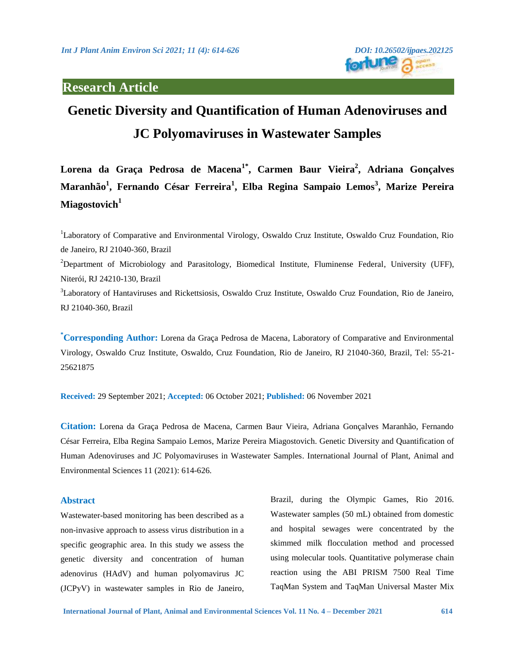# **Research Article**

# **Genetic Diversity and Quantification of Human Adenoviruses and JC Polyomaviruses in Wastewater Samples**

**Lorena da Graça Pedrosa de Macena1\*, Carmen Baur Vieira<sup>2</sup> , Adriana Gonçalves Maranhão<sup>1</sup> , Fernando César Ferreira<sup>1</sup> , Elba Regina Sampaio Lemos<sup>3</sup> , Marize Pereira Miagostovich<sup>1</sup>**

<sup>1</sup>Laboratory of Comparative and Environmental Virology, Oswaldo Cruz Institute, Oswaldo Cruz Foundation, Rio de Janeiro, RJ 21040-360, Brazil <sup>2</sup>Department of Microbiology and Parasitology, Biomedical Institute, Fluminense Federal, University (UFF), Niterói, RJ 24210-130, Brazil <sup>3</sup>Laboratory of Hantaviruses and Rickettsiosis, Oswaldo Cruz Institute, Oswaldo Cruz Foundation, Rio de Janeiro, RJ 21040-360, Brazil

**\*Corresponding Author:** Lorena da Graça Pedrosa de Macena, Laboratory of Comparative and Environmental Virology, Oswaldo Cruz Institute, Oswaldo, Cruz Foundation, Rio de Janeiro, RJ 21040-360, Brazil, Tel: 55-21- 25621875

**Received:** 29 September 2021; **Accepted:** 06 October 2021; **Published:** 06 November 2021

**Citation:** Lorena da Graça Pedrosa de Macena, Carmen Baur Vieira, Adriana Gonçalves Maranhão, Fernando César Ferreira, Elba Regina Sampaio Lemos, Marize Pereira Miagostovich. Genetic Diversity and Quantification of Human Adenoviruses and JC Polyomaviruses in Wastewater Samples. International Journal of Plant, Animal and Environmental Sciences 11 (2021): 614-626.

### **Abstract**

Wastewater-based monitoring has been described as a non-invasive approach to assess virus distribution in a specific geographic area. In this study we assess the genetic diversity and concentration of human adenovirus (HAdV) and human polyomavirus JC (JCPyV) in wastewater samples in Rio de Janeiro,

Brazil, during the Olympic Games, Rio 2016. Wastewater samples (50 mL) obtained from domestic and hospital sewages were concentrated by the skimmed milk flocculation method and processed using molecular tools. Quantitative polymerase chain reaction using the ABI PRISM 7500 Real Time TaqMan System and TaqMan Universal Master Mix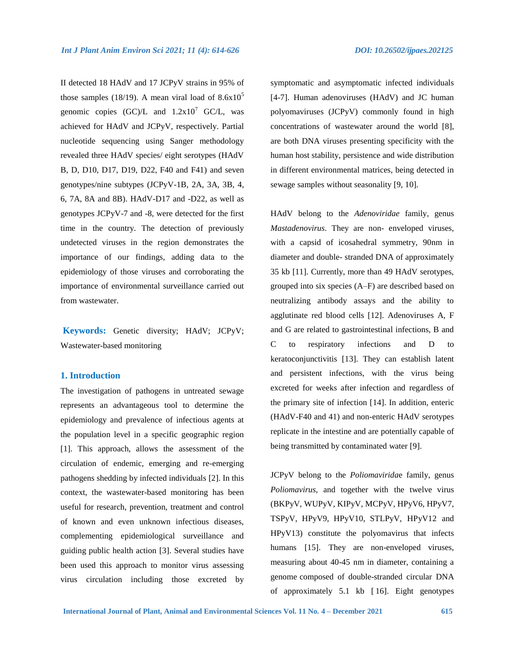II detected 18 HAdV and 17 JCPyV strains in 95% of those samples (18/19). A mean viral load of  $8.6x10<sup>5</sup>$ genomic copies  $(GC)/L$  and  $1.2x10<sup>7</sup>$  GC/L, was achieved for HAdV and JCPyV, respectively. Partial nucleotide sequencing using Sanger methodology revealed three HAdV species/ eight serotypes (HAdV B, D, D10, D17, D19, D22, F40 and F41) and seven genotypes/nine subtypes (JCPyV-1B, 2A, 3A, 3B, 4, 6, 7A, 8A and 8B). HAdV-D17 and -D22, as well as genotypes JCPyV-7 and -8, were detected for the first time in the country. The detection of previously undetected viruses in the region demonstrates the importance of our findings, adding data to the epidemiology of those viruses and corroborating the importance of environmental surveillance carried out from wastewater.

**Keywords:** Genetic diversity; HAdV; JCPyV; Wastewater-based monitoring

### **1. Introduction**

The investigation of pathogens in untreated sewage represents an advantageous tool to determine the epidemiology and prevalence of infectious agents at the population level in a specific geographic region [1]. This approach, allows the assessment of the circulation of endemic, emerging and re-emerging pathogens shedding by infected individuals [2]. In this context, the wastewater-based monitoring has been useful for research, prevention, treatment and control of known and even unknown infectious diseases, complementing epidemiological surveillance and guiding public health action [3]. Several studies have been used this approach to monitor virus assessing virus circulation including those excreted by

symptomatic and asymptomatic infected individuals [4-7]. Human adenoviruses (HAdV) and JC human polyomaviruses (JCPyV) commonly found in high concentrations of wastewater around the world [8], are both DNA viruses presenting specificity with the human host stability, persistence and wide distribution in different environmental matrices, being detected in sewage samples without seasonality [9, 10].

HAdV belong to the *Adenoviridae* family, genus *Mastadenovirus*. They are non- enveloped viruses, with a capsid of icosahedral symmetry, 90nm in diameter and double- stranded DNA of approximately 35 kb [11]. Currently, more than 49 HAdV serotypes, grouped into six species (A–F) are described based on neutralizing antibody assays and the ability to agglutinate red blood cells [12]. Adenoviruses A, F and G are related to gastrointestinal infections, B and C to respiratory infections and D to keratoconjunctivitis [13]. They can establish latent and persistent infections, with the virus being excreted for weeks after infection and regardless of the primary site of infection [14]. In addition, enteric (HAdV-F40 and 41) and non-enteric HAdV serotypes replicate in the intestine and are potentially capable of being transmitted by contaminated water [9].

JCPyV belong to the *Poliomavirida*e family, genus *Poliomavirus,* and together with the twelve virus (BKPyV, WUPyV, KIPyV, MCPyV, HPyV6, HPyV7, TSPyV, HPyV9, HPyV10, STLPyV, HPyV12 and HPyV13) constitute the polyomavirus that infects humans [15]. They are non-enveloped viruses, measuring about 40-45 nm in diameter, containing a genome composed of double-stranded circular DNA of approximately 5.1 kb [ 16]. Eight genotypes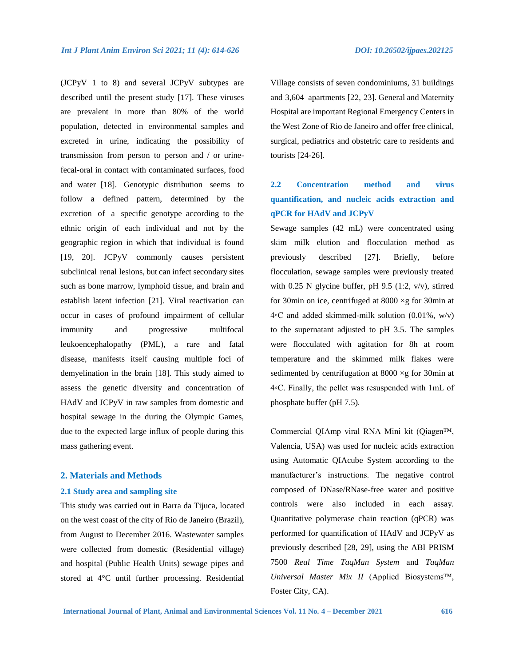(JCPyV 1 to 8) and several JCPyV subtypes are described until the present study [17]. These viruses are prevalent in more than 80% of the world population, detected in environmental samples and excreted in urine, indicating the possibility of transmission from person to person and / or urinefecal-oral in contact with contaminated surfaces, food and water [18]. Genotypic distribution seems to follow a defined pattern, determined by the excretion of a specific genotype according to the ethnic origin of each individual and not by the geographic region in which that individual is found [19, 20]. JCPyV commonly causes persistent

subclinical renal lesions, but can infect secondary sites such as bone marrow, lymphoid tissue, and brain and establish latent infection [21]. Viral reactivation can occur in cases of profound impairment of cellular immunity and progressive multifocal leukoencephalopathy (PML), a rare and fatal disease, manifests itself causing multiple foci of demyelination in the brain [18]. This study aimed to assess the genetic diversity and concentration of HAdV and JCPyV in raw samples from domestic and hospital sewage in the during the Olympic Games, due to the expected large influx of people during this mass gathering event.

#### **2. Materials and Methods**

#### **2.1 Study area and sampling site**

This study was carried out in Barra da Tijuca, located on the west coast of the city of Rio de Janeiro (Brazil), from August to December 2016. Wastewater samples were collected from domestic (Residential village) and hospital (Public Health Units) sewage pipes and stored at 4°C until further processing. Residential Village consists of seven condominiums, 31 buildings and 3,604 apartments [22, 23]. General and Maternity Hospital are important Regional Emergency Centers in the West Zone of Rio de Janeiro and offer free clinical, surgical, pediatrics and obstetric care to residents and tourists [24-26].

## **2.2 Concentration method and virus quantification, and nucleic acids extraction and qPCR for HAdV and JCPyV**

Sewage samples (42 mL) were concentrated using skim milk elution and flocculation method as previously described [27]. Briefly, before flocculation, sewage samples were previously treated with 0.25 N glycine buffer, pH 9.5 (1:2,  $v/v$ ), stirred for 30min on ice, centrifuged at 8000 ×g for 30min at  $4\textdegree$ C and added skimmed-milk solution (0.01%, w/v) to the supernatant adjusted to pH 3.5. The samples were flocculated with agitation for 8h at room temperature and the skimmed milk flakes were sedimented by centrifugation at  $8000 \times g$  for 30min at 4◦C. Finally, the pellet was resuspended with 1mL of phosphate buffer (pH 7.5).

Commercial QIAmp viral RNA Mini kit (Qiagen™, Valencia, USA) was used for nucleic acids extraction using Automatic QIAcube System according to the manufacturer's instructions. The negative control composed of DNase/RNase-free water and positive controls were also included in each assay. Quantitative polymerase chain reaction (qPCR) was performed for quantification of HAdV and JCPyV as previously described [28, 29], using the ABI PRISM 7500 *Real Time TaqMan System* and *TaqMan Universal Master Mix II* (Applied Biosystems™, Foster City, CA).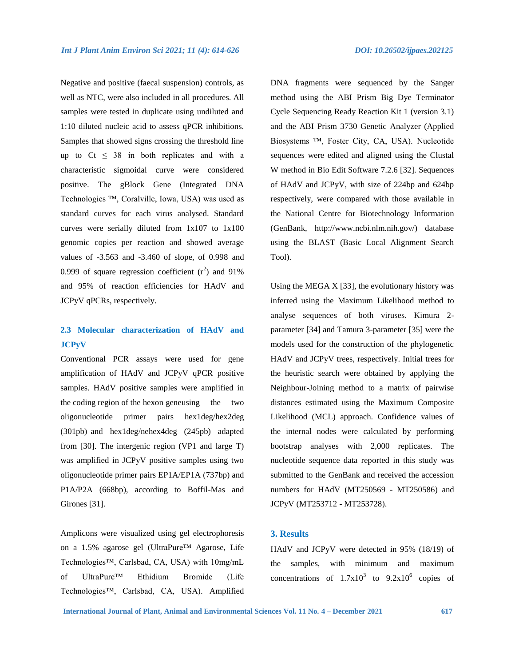Negative and positive (faecal suspension) controls, as well as NTC, were also included in all procedures. All samples were tested in duplicate using undiluted and 1:10 diluted nucleic acid to assess qPCR inhibitions. Samples that showed signs crossing the threshold line up to  $Ct \leq 38$  in both replicates and with a characteristic sigmoidal curve were considered positive. The gBlock Gene (Integrated DNA Technologies ™, Coralville, Iowa, USA) was used as standard curves for each virus analysed. Standard curves were serially diluted from 1x107 to 1x100 genomic copies per reaction and showed average values of -3.563 and -3.460 of slope, of 0.998 and 0.999 of square regression coefficient  $(r^2)$  and 91% and 95% of reaction efficiencies for HAdV and JCPyV qPCRs, respectively.

## **2.3 Molecular characterization of HAdV and JCPyV**

Conventional PCR assays were used for gene amplification of HAdV and JCPyV qPCR positive samples. HAdV positive samples were amplified in the coding region of the hexon geneusing the two oligonucleotide primer pairs hex1deg/hex2deg (301pb) and hex1deg/nehex4deg (245pb) adapted from [30]. The intergenic region (VP1 and large T) was amplified in JCPyV positive samples using two oligonucleotide primer pairs EP1A/EP1A (737bp) and P1A/P2A (668bp), according to Boffil-Mas and Girones [31].

Amplicons were visualized using gel electrophoresis on a 1.5% agarose gel (UltraPure™ Agarose, Life Technologies™, Carlsbad, CA, USA) with 10mg/mL of UltraPure™ Ethidium Bromide (Life Technologies™, Carlsbad, CA, USA). Amplified

DNA fragments were sequenced by the Sanger method using the ABI Prism Big Dye Terminator Cycle Sequencing Ready Reaction Kit 1 (version 3.1) and the ABI Prism 3730 Genetic Analyzer (Applied Biosystems ™, Foster City, CA, USA). Nucleotide sequences were edited and aligned using the Clustal W method in Bio Edit Software 7.2.6 [32]. Sequences of HAdV and JCPyV, with size of 224bp and 624bp respectively, were compared with those available in the National Centre for Biotechnology Information (GenBank, http://www.ncbi.nlm.nih.gov/) database using the BLAST (Basic Local Alignment Search Tool).

Using the MEGA  $X$  [33], the evolutionary history was inferred using the Maximum Likelihood method to analyse sequences of both viruses. Kimura 2 parameter [34] and Tamura 3-parameter [35] were the models used for the construction of the phylogenetic HAdV and JCPyV trees, respectively. Initial trees for the heuristic search were obtained by applying the Neighbour-Joining method to a matrix of pairwise distances estimated using the Maximum Composite Likelihood (MCL) approach. Confidence values of the internal nodes were calculated by performing bootstrap analyses with 2,000 replicates. The nucleotide sequence data reported in this study was submitted to the GenBank and received the accession numbers for HAdV (MT250569 - MT250586) and JCPyV (MT253712 - MT253728).

## **3. Results**

HAdV and JCPyV were detected in 95% (18/19) of the samples, with minimum and maximum concentrations of  $1.7x10^3$  to  $9.2x10^6$  copies of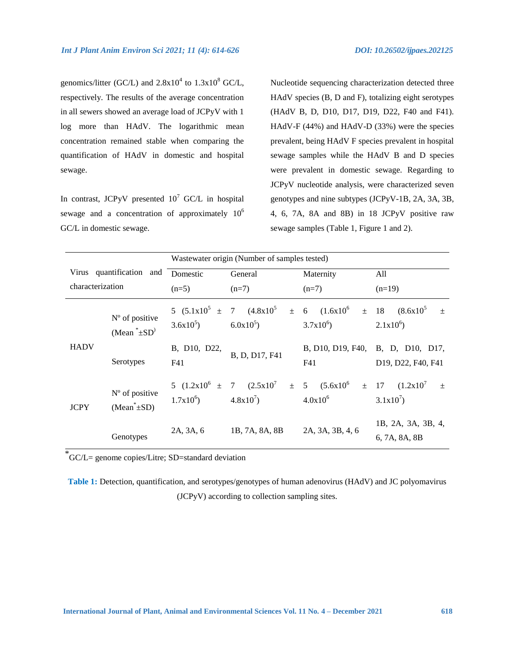genomics/litter (GC/L) and  $2.8x10^4$  to  $1.3x10^8$  GC/L, respectively. The results of the average concentration in all sewers showed an average load of JCPyV with 1 log more than HAdV. The logarithmic mean concentration remained stable when comparing the quantification of HAdV in domestic and hospital sewage.

In contrast, JCPyV presented  $10^7$  GC/L in hospital sewage and a concentration of approximately  $10^6$ GC/L in domestic sewage.

Nucleotide sequencing characterization detected three HAdV species (B, D and F), totalizing eight serotypes (HAdV B, D, D10, D17, D19, D22, F40 and F41). HAdV-F (44%) and HAdV-D (33%) were the species prevalent, being HAdV F species prevalent in hospital sewage samples while the HAdV B and D species were prevalent in domestic sewage. Regarding to JCPyV nucleotide analysis, were characterized seven genotypes and nine subtypes (JCPyV-1B, 2A, 3A, 3B, 4, 6, 7A, 8A and 8B) in 18 JCPyV positive raw sewage samples (Table 1, Figure 1 and 2).

|                          |                                       | Wastewater origin (Number of samples tested) |                                     |                                                      |                                                         |
|--------------------------|---------------------------------------|----------------------------------------------|-------------------------------------|------------------------------------------------------|---------------------------------------------------------|
| Virus quantification and |                                       | Domestic                                     | General                             | Maternity                                            | All                                                     |
| characterization         |                                       | $(n=5)$                                      | $(n=7)$                             | $(n=7)$                                              | $(n=19)$                                                |
|                          | $No$ of positive<br>$(Mean^* \pm SD)$ | $3.6x10^{5}$ $6.0x10^{5}$                    | 5 $(5.1x10^5 \pm 7)$ $(4.8x10^5)$   | $\pm$ 6 $(1.6x10^6$<br>$3.7x10^{6}$                  | $\pm$ 18 $(8.6x10^5$<br>$\pm$<br>$2.1x10^{6}$           |
| <b>HADV</b>              | Serotypes                             | B, D10, D22,<br>F41                          | B, D, D17, F41                      | F41                                                  | B, D10, D19, F40, B, D, D10, D17,<br>D19, D22, F40, F41 |
| <b>JCPY</b>              | $No$ of positive<br>$(Mean^* \pm SD)$ | $1.7x10^{6}$ $4.8x10^{7}$                    | 5 $(1.2x10^6 \pm 7 \quad (2.5x10^7$ | $\pm$ 5 $(5.6x10^6 \pm 17 \ (1.2x10^7$<br>$4.0x10^6$ | $\pm$<br>$3.1x10^{7}$                                   |
|                          | Genotypes                             | 2A, 3A, 6                                    | 1B, 7A, 8A, 8B                      | 2A, 3A, 3B, 4, 6                                     | 1B, 2A, 3A, 3B, 4,<br>6, 7A, 8A, 8B                     |

\*GC/L= genome copies/Litre; SD=standard deviation

**Table 1:** Detection, quantification, and serotypes/genotypes of human adenovirus (HAdV) and JC polyomavirus (JCPyV) according to collection sampling sites.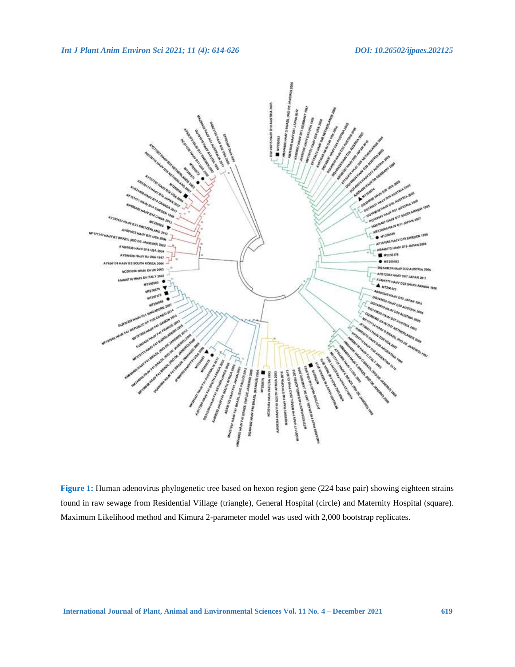

**Figure 1:** Human adenovirus phylogenetic tree based on hexon region gene (224 base pair) showing eighteen strains found in raw sewage from Residential Village (triangle), General Hospital (circle) and Maternity Hospital (square). Maximum Likelihood method and Kimura 2-parameter model was used with 2,000 bootstrap replicates.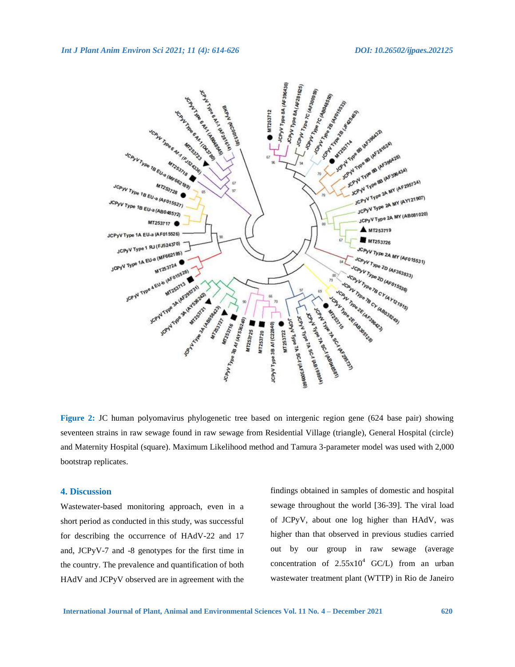

**Figure 2:** JC human polyomavirus phylogenetic tree based on intergenic region gene (624 base pair) showing seventeen strains in raw sewage found in raw sewage from Residential Village (triangle), General Hospital (circle) and Maternity Hospital (square). Maximum Likelihood method and Tamura 3-parameter model was used with 2,000 bootstrap replicates.

#### **4. Discussion**

Wastewater-based monitoring approach, even in a short period as conducted in this study, was successful for describing the occurrence of HAdV-22 and 17 and, JCPyV-7 and -8 genotypes for the first time in the country. The prevalence and quantification of both HAdV and JCPyV observed are in agreement with the

findings obtained in samples of domestic and hospital sewage throughout the world [36-39]. The viral load of JCPyV, about one log higher than HAdV, was higher than that observed in previous studies carried out by our group in raw sewage (average concentration of  $2.55x10^4$  GC/L) from an urban wastewater treatment plant (WTTP) in Rio de Janeiro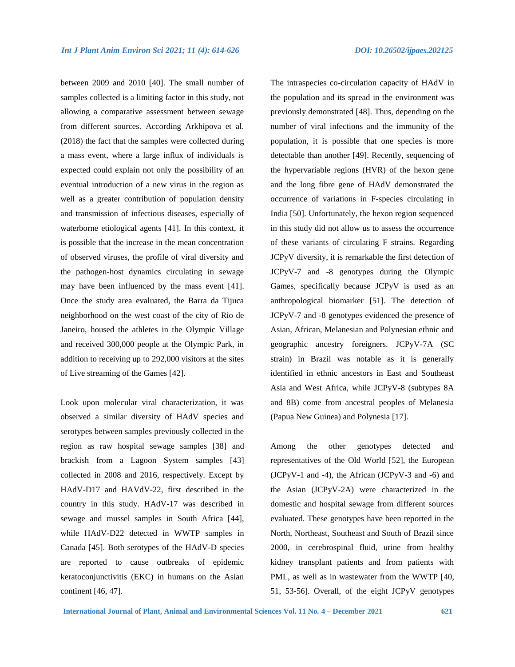between 2009 and 2010 [40]. The small number of samples collected is a limiting factor in this study, not allowing a comparative assessment between sewage from different sources. According Arkhipova et al. (2018) the fact that the samples were collected during a mass event, where a large influx of individuals is expected could explain not only the possibility of an eventual introduction of a new virus in the region as well as a greater contribution of population density and transmission of infectious diseases, especially of waterborne etiological agents [41]. In this context, it is possible that the increase in the mean concentration of observed viruses, the profile of viral diversity and the pathogen-host dynamics circulating in sewage may have been influenced by the mass event [41]. Once the study area evaluated, the Barra da Tijuca neighborhood on the west coast of the city of Rio de Janeiro, housed the athletes in the Olympic Village and received 300,000 people at the Olympic Park, in addition to receiving up to 292,000 visitors at the sites of Live streaming of the Games [42].

Look upon molecular viral characterization, it was observed a similar diversity of HAdV species and serotypes between samples previously collected in the region as raw hospital sewage samples [38] and brackish from a Lagoon System samples [43] collected in 2008 and 2016, respectively. Except by HAdV-D17 and HAVdV-22, first described in the country in this study. HAdV-17 was described in sewage and mussel samples in South Africa [44], while HAdV-D22 detected in WWTP samples in Canada [45]. Both serotypes of the HAdV-D species are reported to cause outbreaks of epidemic keratoconjunctivitis (EKC) in humans on the Asian continent [46, 47].

The intraspecies co-circulation capacity of HAdV in the population and its spread in the environment was previously demonstrated [48]. Thus, depending on the number of viral infections and the immunity of the population, it is possible that one species is more detectable than another [49]. Recently, sequencing of the hypervariable regions (HVR) of the hexon gene and the long fibre gene of HAdV demonstrated the occurrence of variations in F-species circulating in India [50]. Unfortunately, the hexon region sequenced in this study did not allow us to assess the occurrence of these variants of circulating F strains. Regarding JCPyV diversity, it is remarkable the first detection of JCPyV-7 and -8 genotypes during the Olympic Games, specifically because JCPyV is used as an anthropological biomarker [51]. The detection of JCPyV-7 and -8 genotypes evidenced the presence of Asian, African, Melanesian and Polynesian ethnic and geographic ancestry foreigners. JCPyV-7A (SC strain) in Brazil was notable as it is generally identified in ethnic ancestors in East and Southeast Asia and West Africa, while JCPyV-8 (subtypes 8A and 8B) come from ancestral peoples of Melanesia (Papua New Guinea) and Polynesia [17].

Among the other genotypes detected and representatives of the Old World [52], the European (JCPyV-1 and -4), the African (JCPyV-3 and -6) and the Asian (JCPyV-2A) were characterized in the domestic and hospital sewage from different sources evaluated. These genotypes have been reported in the North, Northeast, Southeast and South of Brazil since 2000, in cerebrospinal fluid, urine from healthy kidney transplant patients and from patients with PML, as well as in wastewater from the WWTP [40, 51, 53-56]. Overall, of the eight JCPyV genotypes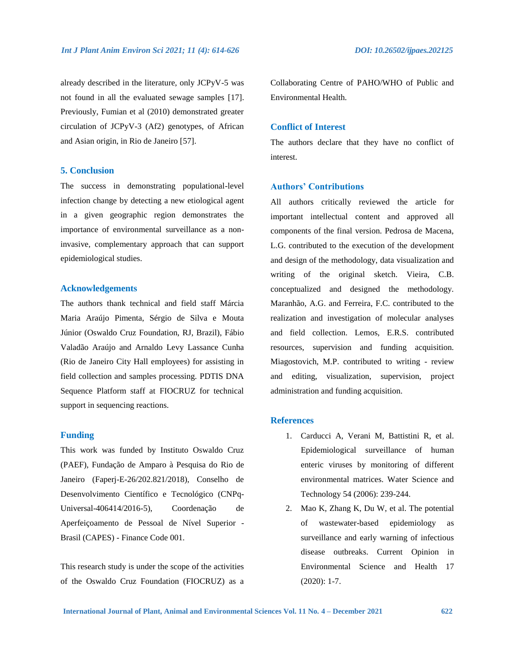already described in the literature, only JCPyV-5 was not found in all the evaluated sewage samples [17]. Previously, Fumian et al (2010) demonstrated greater circulation of JCPyV-3 (Af2) genotypes, of African and Asian origin, in Rio de Janeiro [57].

#### **5. Conclusion**

The success in demonstrating populational-level infection change by detecting a new etiological agent in a given geographic region demonstrates the importance of environmental surveillance as a noninvasive, complementary approach that can support epidemiological studies.

#### **Acknowledgements**

The authors thank technical and field staff Márcia Maria Araújo Pimenta, Sérgio de Silva e Mouta Júnior (Oswaldo Cruz Foundation, RJ, Brazil), Fábio Valadão Araújo and Arnaldo Levy Lassance Cunha (Rio de Janeiro City Hall employees) for assisting in field collection and samples processing. PDTIS DNA Sequence Platform staff at FIOCRUZ for technical support in sequencing reactions.

#### **Funding**

This work was funded by Instituto Oswaldo Cruz (PAEF), Fundação de Amparo à Pesquisa do Rio de Janeiro (Faperj-E-26/202.821/2018), Conselho de Desenvolvimento Científico e Tecnológico (CNPq-Universal-406414/2016-5), Coordenação de Aperfeiçoamento de Pessoal de Nível Superior - Brasil (CAPES) - Finance Code 001.

This research study is under the scope of the activities of the Oswaldo Cruz Foundation (FIOCRUZ) as a Collaborating Centre of PAHO/WHO of Public and Environmental Health.

## **Conflict of Interest**

The authors declare that they have no conflict of interest.

#### **Authors' Contributions**

All authors critically reviewed the article for important intellectual content and approved all components of the final version. Pedrosa de Macena, L.G. contributed to the execution of the development and design of the methodology, data visualization and writing of the original sketch. Vieira, C.B. conceptualized and designed the methodology. Maranhão, A.G. and Ferreira, F.C. contributed to the realization and investigation of molecular analyses and field collection. Lemos, E.R.S. contributed resources, supervision and funding acquisition. Miagostovich, M.P. contributed to writing - review and editing, visualization, supervision, project administration and funding acquisition.

#### **References**

- 1. Carducci A, Verani M, Battistini R, et al. Epidemiological surveillance of human enteric viruses by monitoring of different environmental matrices. Water Science and Technology 54 (2006): 239-244.
- 2. Mao K, Zhang K, Du W, et al. The potential of wastewater-based epidemiology as surveillance and early warning of infectious disease outbreaks. Current Opinion in Environmental Science and Health 17 (2020): 1-7.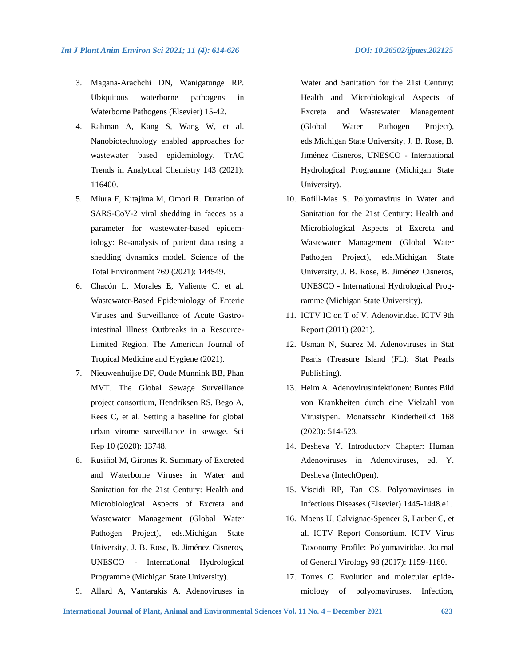- 3. Magana-Arachchi DN, Wanigatunge RP. Ubiquitous waterborne pathogens in Waterborne Pathogens (Elsevier) 15-42.
- 4. Rahman A, Kang S, Wang W, et al. Nanobiotechnology enabled approaches for wastewater based epidemiology. TrAC Trends in Analytical Chemistry 143 (2021): 116400.
- 5. Miura F, Kitajima M, Omori R. Duration of SARS-CoV-2 viral shedding in faeces as a parameter for wastewater-based epidemiology: Re-analysis of patient data using a shedding dynamics model. Science of the Total Environment 769 (2021): 144549.
- 6. Chacón L, Morales E, Valiente C, et al. Wastewater-Based Epidemiology of Enteric Viruses and Surveillance of Acute Gastrointestinal Illness Outbreaks in a Resource-Limited Region. The American Journal of Tropical Medicine and Hygiene (2021).
- 7. Nieuwenhuijse DF, Oude Munnink BB, Phan MVT. The Global Sewage Surveillance project consortium, Hendriksen RS, Bego A, Rees C, et al. Setting a baseline for global urban virome surveillance in sewage. Sci Rep 10 (2020): 13748.
- 8. Rusiñol M, Girones R. Summary of Excreted and Waterborne Viruses in Water and Sanitation for the 21st Century: Health and Microbiological Aspects of Excreta and Wastewater Management (Global Water Pathogen Project), eds.Michigan State University, J. B. Rose, B. Jiménez Cisneros, UNESCO - International Hydrological Programme (Michigan State University).
- 9. Allard A, Vantarakis A. Adenoviruses in

Water and Sanitation for the 21st Century: Health and Microbiological Aspects of Excreta and Wastewater Management (Global Water Pathogen Project), eds.Michigan State University, J. B. Rose, B. Jiménez Cisneros, UNESCO - International Hydrological Programme (Michigan State University).

- 10. Bofill-Mas S. Polyomavirus in Water and Sanitation for the 21st Century: Health and Microbiological Aspects of Excreta and Wastewater Management (Global Water Pathogen Project), eds.Michigan State University, J. B. Rose, B. Jiménez Cisneros, UNESCO - International Hydrological Programme (Michigan State University).
- 11. ICTV IC on T of V. Adenoviridae. ICTV 9th Report (2011) (2021).
- 12. Usman N, Suarez M. Adenoviruses in Stat Pearls (Treasure Island (FL): Stat Pearls Publishing).
- 13. Heim A. Adenovirusinfektionen: Buntes Bild von Krankheiten durch eine Vielzahl von Virustypen. Monatsschr Kinderheilkd 168 (2020): 514-523.
- 14. Desheva Y. Introductory Chapter: Human Adenoviruses in Adenoviruses, ed. Y. Desheva (IntechOpen).
- 15. Viscidi RP, Tan CS. Polyomaviruses in Infectious Diseases (Elsevier) 1445-1448.e1.
- 16. Moens U, Calvignac-Spencer S, Lauber C, et al. ICTV Report Consortium. ICTV Virus Taxonomy Profile: Polyomaviridae. Journal of General Virology 98 (2017): 1159-1160.
- 17. Torres C. Evolution and molecular epidemiology of polyomaviruses. Infection,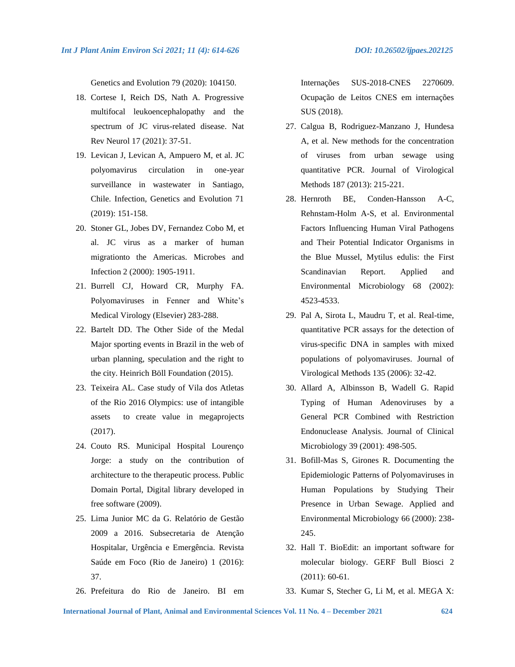Genetics and Evolution 79 (2020): 104150.

- 18. Cortese I, Reich DS, Nath A. Progressive multifocal leukoencephalopathy and the spectrum of JC virus-related disease. Nat Rev Neurol 17 (2021): 37-51.
- 19. Levican J, Levican A, Ampuero M, et al. JC polyomavirus circulation in one-year surveillance in wastewater in Santiago, Chile. Infection, Genetics and Evolution 71 (2019): 151-158.
- 20. Stoner GL, Jobes DV, Fernandez Cobo M, et al. JC virus as a marker of human migrationto the Americas. Microbes and Infection 2 (2000): 1905-1911.
- 21. Burrell CJ, Howard CR, Murphy FA. Polyomaviruses in Fenner and White's Medical Virology (Elsevier) 283-288.
- 22. Bartelt DD. The Other Side of the Medal Major sporting events in Brazil in the web of urban planning, speculation and the right to the city. Heinrich Böll Foundation (2015).
- 23. Teixeira AL. Case study of Vila dos Atletas of the Rio 2016 Olympics: use of intangible assets to create value in megaprojects (2017).
- 24. Couto RS. Municipal Hospital Lourenço Jorge: a study on the contribution of architecture to the therapeutic process. Public Domain Portal, Digital library developed in free software (2009).
- 25. Lima Junior MC da G. Relatório de Gestão 2009 a 2016. Subsecretaria de Atenção Hospitalar, Urgência e Emergência. Revista Saúde em Foco (Rio de Janeiro) 1 (2016): 37.
- 26. Prefeitura do Rio de Janeiro. BI em

Internações SUS-2018-CNES 2270609. Ocupação de Leitos CNES em internações SUS (2018).

- 27. Calgua B, Rodriguez-Manzano J, Hundesa A, et al. New methods for the concentration of viruses from urban sewage using quantitative PCR. Journal of Virological Methods 187 (2013): 215-221.
- 28. Hernroth BE, Conden-Hansson A-C, Rehnstam-Holm A-S, et al. Environmental Factors Influencing Human Viral Pathogens and Their Potential Indicator Organisms in the Blue Mussel, Mytilus edulis: the First Scandinavian Report. Applied and Environmental Microbiology 68 (2002): 4523-4533.
- 29. Pal A, Sirota L, Maudru T, et al. Real-time, quantitative PCR assays for the detection of virus-specific DNA in samples with mixed populations of polyomaviruses. Journal of Virological Methods 135 (2006): 32-42.
- 30. Allard A, Albinsson B, Wadell G. Rapid Typing of Human Adenoviruses by a General PCR Combined with Restriction Endonuclease Analysis. Journal of Clinical Microbiology 39 (2001): 498-505.
- 31. Bofill-Mas S, Girones R. Documenting the Epidemiologic Patterns of Polyomaviruses in Human Populations by Studying Their Presence in Urban Sewage. Applied and Environmental Microbiology 66 (2000): 238- 245.
- 32. Hall T. BioEdit: an important software for molecular biology. GERF Bull Biosci 2 (2011): 60-61.
- 33. Kumar S, Stecher G, Li M, et al. MEGA X: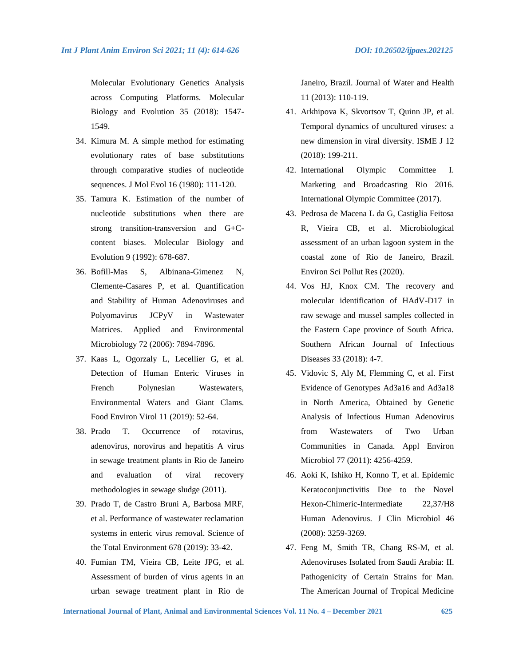Molecular Evolutionary Genetics Analysis across Computing Platforms. Molecular Biology and Evolution 35 (2018): 1547- 1549.

- 34. Kimura M. A simple method for estimating evolutionary rates of base substitutions through comparative studies of nucleotide sequences. J Mol Evol 16 (1980): 111-120.
- 35. Tamura K. Estimation of the number of nucleotide substitutions when there are strong transition-transversion and G+Ccontent biases. Molecular Biology and Evolution 9 (1992): 678-687.
- 36. Bofill-Mas S, Albinana-Gimenez N, Clemente-Casares P, et al. Quantification and Stability of Human Adenoviruses and Polyomavirus JCPyV in Wastewater Matrices. Applied and Environmental Microbiology 72 (2006): 7894-7896.
- 37. Kaas L, Ogorzaly L, Lecellier G, et al. Detection of Human Enteric Viruses in French Polynesian Wastewaters, Environmental Waters and Giant Clams. Food Environ Virol 11 (2019): 52-64.
- 38. Prado T. Occurrence of rotavirus, adenovirus, norovirus and hepatitis A virus in sewage treatment plants in Rio de Janeiro and evaluation of viral recovery methodologies in sewage sludge (2011).
- 39. Prado T, de Castro Bruni A, Barbosa MRF, et al. Performance of wastewater reclamation systems in enteric virus removal. Science of the Total Environment 678 (2019): 33-42.
- 40. Fumian TM, Vieira CB, Leite JPG, et al. Assessment of burden of virus agents in an urban sewage treatment plant in Rio de

Janeiro, Brazil. Journal of Water and Health 11 (2013): 110-119.

- 41. Arkhipova K, Skvortsov T, Quinn JP, et al. Temporal dynamics of uncultured viruses: a new dimension in viral diversity. ISME J 12 (2018): 199-211.
- 42. International Olympic Committee I. Marketing and Broadcasting Rio 2016. International Olympic Committee (2017).
- 43. Pedrosa de Macena L da G, Castiglia Feitosa R, Vieira CB, et al. Microbiological assessment of an urban lagoon system in the coastal zone of Rio de Janeiro, Brazil. Environ Sci Pollut Res (2020).
- 44. Vos HJ, Knox CM. The recovery and molecular identification of HAdV-D17 in raw sewage and mussel samples collected in the Eastern Cape province of South Africa. Southern African Journal of Infectious Diseases 33 (2018): 4-7.
- 45. Vidovic S, Aly M, Flemming C, et al. First Evidence of Genotypes Ad3a16 and Ad3a18 in North America, Obtained by Genetic Analysis of Infectious Human Adenovirus from Wastewaters of Two Urban Communities in Canada. Appl Environ Microbiol 77 (2011): 4256-4259.
- 46. Aoki K, Ishiko H, Konno T, et al. Epidemic Keratoconjunctivitis Due to the Novel Hexon-Chimeric-Intermediate 22,37/H8 Human Adenovirus. J Clin Microbiol 46 (2008): 3259-3269.
- 47. Feng M, Smith TR, Chang RS-M, et al. Adenoviruses Isolated from Saudi Arabia: II. Pathogenicity of Certain Strains for Man. The American Journal of Tropical Medicine